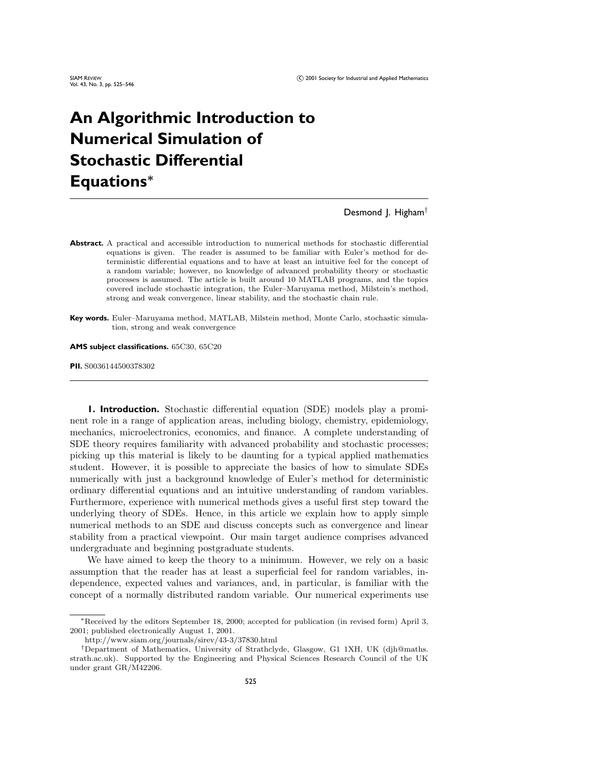# **An Algorithmic Introduction to Numerical Simulation of Stochastic Differential Equations***<sup>∗</sup>*

Desmond J. Higham<sup>†</sup>

- **Abstract.** A practical and accessible introduction to numerical methods for stochastic differential equations is given. The reader is assumed to be familiar with Euler's method for deterministic differential equations and to have at least an intuitive feel for the concept of a random variable; however, no knowledge of advanced probability theory or stochastic processes is assumed. The article is built around 10 MATLAB programs, and the topics covered include stochastic integration, the Euler–Maruyama method, Milstein's method, strong and weak convergence, linear stability, and the stochastic chain rule.
- **Key words.** Euler–Maruyama method, MATLAB, Milstein method, Monte Carlo, stochastic simulation, strong and weak convergence

**AMS subject classifications.** 65C30, 65C20

**PII.** S0036144500378302

**1. Introduction.** Stochastic differential equation (SDE) models play a prominent role in a range of application areas, including biology, chemistry, epidemiology, mechanics, microelectronics, economics, and finance. A complete understanding of SDE theory requires familiarity with advanced probability and stochastic processes; picking up this material is likely to be daunting for a typical applied mathematics student. However, it is possible to appreciate the basics of how to simulate SDEs numerically with just a background knowledge of Euler's method for deterministic ordinary differential equations and an intuitive understanding of random variables. Furthermore, experience with numerical methods gives a useful first step toward the underlying theory of SDEs. Hence, in this article we explain how to apply simple numerical methods to an SDE and discuss concepts such as convergence and linear stability from a practical viewpoint. Our main target audience comprises advanced undergraduate and beginning postgraduate students.

We have aimed to keep the theory to a minimum. However, we rely on a basic assumption that the reader has at least a superficial feel for random variables, independence, expected values and variances, and, in particular, is familiar with the concept of a normally distributed random variable. Our numerical experiments use

<sup>∗</sup>Received bythe editors September 18, 2000; accepted for publication (in revised form) April 3, 2001; published electronicallyAugust 1, 2001.

http://www.siam.org/journals/sirev/43-3/37830.html

<sup>†</sup>Department of Mathematics, Universityof Strathclyde, Glasgow, G1 1XH, UK (djh@maths. strath.ac.uk). Supported by the Engineering and Physical Sciences Research Council of the UK under grant GR/M42206.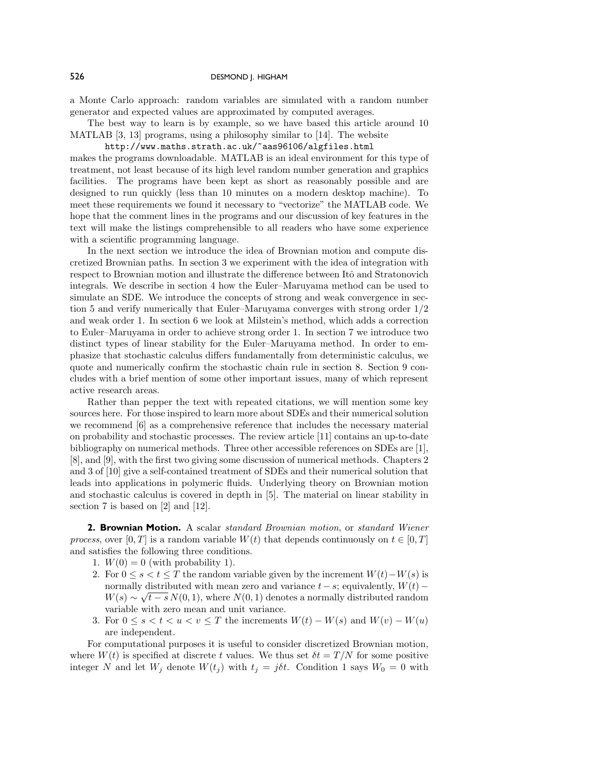a Monte Carlo approach: random variables are simulated with a random number generator and expected values are approximated by computed averages.

The best way to learn is by example, so we have based this article around 10 MATLAB [3, 13] programs, using a philosophy similar to [14]. The website

http://www.maths.strath.ac.uk/~aas96106/algfiles.html makes the programs downloadable. MATLAB is an ideal environment for this type of treatment, not least because of its high level random number generation and graphics facilities. The programs have been kept as short as reasonably possible and are designed to run quickly (less than 10 minutes on a modern desktop machine). To meet these requirements we found it necessary to "vectorize" the MATLAB code. We hope that the comment lines in the programs and our discussion of key features in the text will make the listings comprehensible to all readers who have some experience with a scientific programming language.

In the next section we introduce the idea of Brownian motion and compute discretized Brownian paths. In section 3 we experiment with the idea of integration with respect to Brownian motion and illustrate the difference between Itô and Stratonovich integrals. We describe in section 4 howthe Euler–Maruyama method can be used to simulate an SDE. We introduce the concepts of strong and weak convergence in section 5 and verify numerically that Euler–Maruyama converges with strong order 1*/*2 and weak order 1. In section 6 we look at Milstein's method, which adds a correction to Euler–Maruyama in order to achieve strong order 1. In section 7 we introduce two distinct types of linear stability for the Euler–Maruyama method. In order to emphasize that stochastic calculus differs fundamentally from deterministic calculus, we quote and numerically confirm the stochastic chain rule in section 8. Section 9 concludes with a brief mention of some other important issues, many of which represent active research areas.

Rather than pepper the text with repeated citations, we will mention some key sources here. For those inspired to learn more about SDEs and their numerical solution we recommend [6] as a comprehensive reference that includes the necessary material on probability and stochastic processes. The reviewarticle [11] contains an up-to-date bibliography on numerical methods. Three other accessible references on SDEs are [1], [8], and [9], with the first two giving some discussion of numerical methods. Chapters 2 and 3 of [10] give a self-contained treatment of SDEs and their numerical solution that leads into applications in polymeric fluids. Underlying theory on Brownian motion and stochastic calculus is covered in depth in [5]. The material on linear stability in section 7 is based on [2] and [12].

**2. Brownian Motion.** A scalar *standard Brownian motion*, or *standard Wiener process*, over [0, T] is a random variable  $W(t)$  that depends continuously on  $t \in [0, T]$ and satisfies the following three conditions.

- 1.  $W(0) = 0$  (with probability 1).
- 2. For  $0 \le s \le t \le T$  the random variable given by the increment  $W(t) W(s)$  is normally distributed with mean zero and variance  $t - s$ ; equivalently,  $W(t)$  −  $W(s) \sim \sqrt{t-s} N(0,1)$ , where  $N(0,1)$  denotes a normally distributed random variable with zero mean and unit variance.
- 3. For  $0 \le s < t < u < v \le T$  the increments  $W(t) W(s)$  and  $W(v) W(u)$ are independent.

For computational purposes it is useful to consider discretized Brownian motion, where  $W(t)$  is specified at discrete *t* values. We thus set  $\delta t = T/N$  for some positive integer *N* and let  $W_j$  denote  $W(t_j)$  with  $t_j = j\delta t$ . Condition 1 says  $W_0 = 0$  with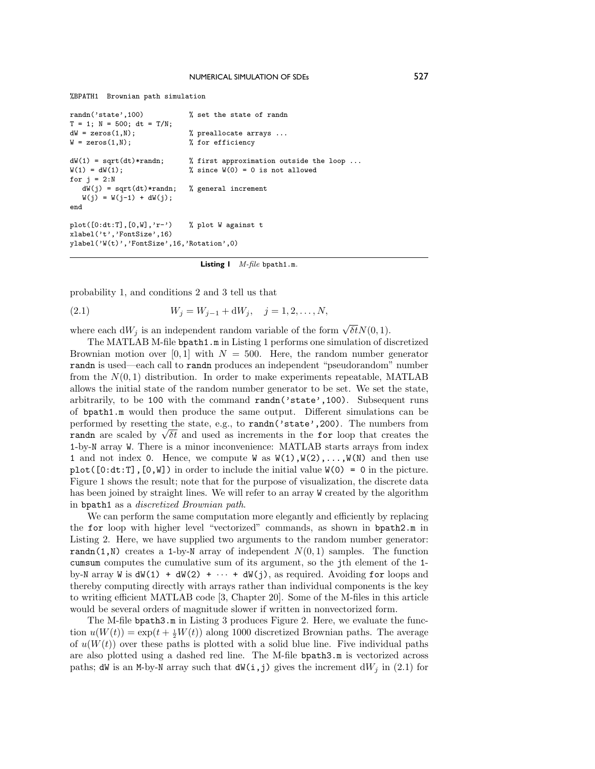```
%BPATH1 Brownian path simulation
```

```
randn('state',100) % set the state of randn
T = 1; N = 500; dt = T/N;<br>dW = zeros(1,N);
dW = zeros(1,N);<br>
W = 2eros(1,N);<br>
W = 3e<br>
W = 2eros(1,N);<br>
W = 3e<br>
W = 3e<br>
W = 3e<br>
W = 3e<br>
W = 3e<br>
W = 3e<br>
W = 3e<br>
W = 3e<br>
W = 3e<br>
W = 3e<br>
W = 3e% for efficiency
dW(1) = sqrt(dt)*randn; % first approximation outside the loop ...<br>W(1) = dW(1); % since W(0) = 0 is not allowed
                                         % since W(0) = 0 is not allowed
for i = 2:NdW(j) = sqrt(dt) * randn; % general increment
    W(j) = W(j-1) + dW(j);end
plot([0:dt:T],[0,W],'r-') % plot W against t
xlabel('t','FontSize',16)
ylabel('W(t)','FontSize',16,'Rotation',0)
```
**Listing 1** *M-file* bpath1.m*.*

probability 1, and conditions 2 and 3 tell us that

(2.1) 
$$
W_j = W_{j-1} + dW_j, \quad j = 1, 2, ..., N,
$$

where each  $dW_j$  is an independent random variable of the form  $\sqrt{\delta t}N(0,1)$ .

The MATLAB M-file bpath1.m in Listing 1 performs one simulation of discretized Brownian motion over  $[0,1]$  with  $N = 500$ . Here, the random number generator randn is used—each call to randn produces an independent "pseudorandom" number from the  $N(0,1)$  distribution. In order to make experiments repeatable, MATLAB allows the initial state of the random number generator to be set. We set the state, arbitrarily, to be 100 with the command randn('state',100). Subsequent runs of bpath1.m would then produce the same output. Different simulations can be performed by resetting the state, e.g., to randn('state',200). The numbers from performed by resetting the state, e.g., to **randi** state  $\ell$ , 2009. The numbers from **randi** are scaled by  $\sqrt{\delta t}$  and used as increments in the **for** loop that creates the 1-by-N array W. There is a minor inconvenience: MATLAB starts arrays from index 1 and not index 0. Hence, we compute W as  $W(1), W(2), \ldots, W(N)$  and then use  $plot([0:dt:T], [0,W])$  in order to include the initial value  $W(0) = 0$  in the picture. Figure 1 shows the result; note that for the purpose of visualization, the discrete data has been joined by straight lines. We will refer to an array W created by the algorithm in bpath1 as a *discretized Brownian path*.

We can perform the same computation more elegantly and efficiently by replacing the for loop with higher level "vectorized" commands, as shown in bpath2.m in Listing 2. Here, we have supplied two arguments to the random number generator: randn(1,N) creates a 1-by-N array of independent  $N(0,1)$  samples. The function cumsum computes the cumulative sum of its argument, so the jth element of the 1 by-N array W is  $dW(1) + dW(2) + \cdots + dW(j)$ , as required. Avoiding for loops and thereby computing directly with arrays rather than individual components is the key to writing efficient MATLAB code [3, Chapter 20]. Some of the M-files in this article would be several orders of magnitude slower if written in nonvectorized form.

The M-file bpath3.m in Listing 3 produces Figure 2. Here, we evaluate the function  $u(W(t)) = \exp(t + \frac{1}{2}W(t))$  along 1000 discretized Brownian paths. The average of  $u(W(t))$  over these paths is plotted with a solid blue line. Five individual paths are also plotted using a dashed red line. The M-file bpath3.m is vectorized across paths; dW is an M-by-N array such that  $dW(i, j)$  gives the increment  $dW_j$  in (2.1) for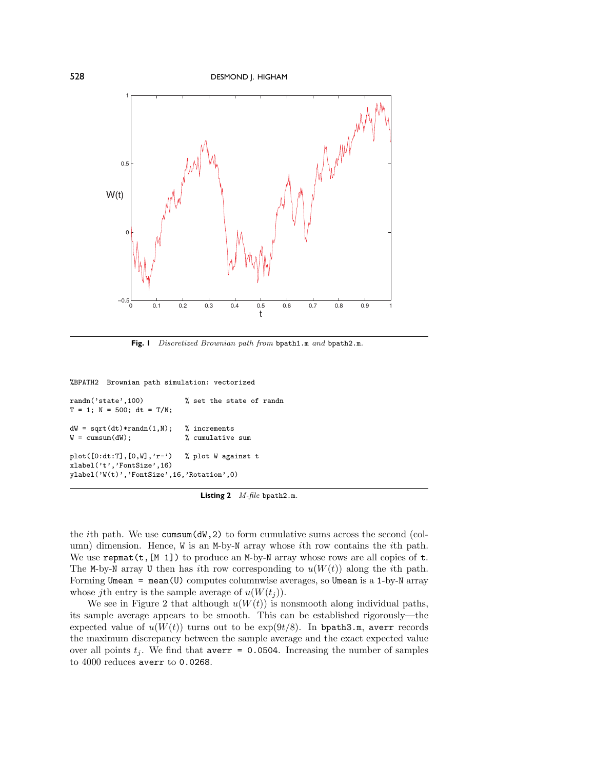

**Fig. 1** *Discretized Brownian path from* bpath1.m *and* bpath2.m*.*

%BPATH2 Brownian path simulation: vectorized

```
randn('state',100) % set the state of randn
T = 1; N = 500; dt = T/N;
dW = sqrt(dt)*randn(1,N); % increments<br>W = cumsum(dW); % cumulative
                              % cumulative sum
plot([0:dt:T],[0,W],'r-') % plot W against t
xlabel('t','FontSize',16)
ylabel('W(t)','FontSize',16,'Rotation',0)
```
**Listing 2** *M-file* bpath2.m*.*

the *i*th path. We use cumsum(dW,2) to form cumulative sums across the second (column) dimension. Hence, W is an M-by-N array whose *i*th rowcontains the *i*th path. We use  $\texttt{repmat}(t,[M 1])$  to produce an M-by-N array whose rows are all copies of  $t$ . The M-by-N array U then has *i*th row corresponding to  $u(W(t))$  along the *i*th path. Forming Umean = mean(U) computes columnwise averages, so Umean is a 1-by-N array whose *j*th entry is the sample average of  $u(W(t_i))$ .

We see in Figure 2 that although  $u(W(t))$  is nonsmooth along individual paths, its sample average appears to be smooth. This can be established rigorously—the expected value of  $u(W(t))$  turns out to be  $\exp(9t/8)$ . In bpath3.m, averr records the maximum discrepancy between the sample average and the exact expected value over all points  $t_j$ . We find that averr = 0.0504. Increasing the number of samples to 4000 reduces averr to 0.0268.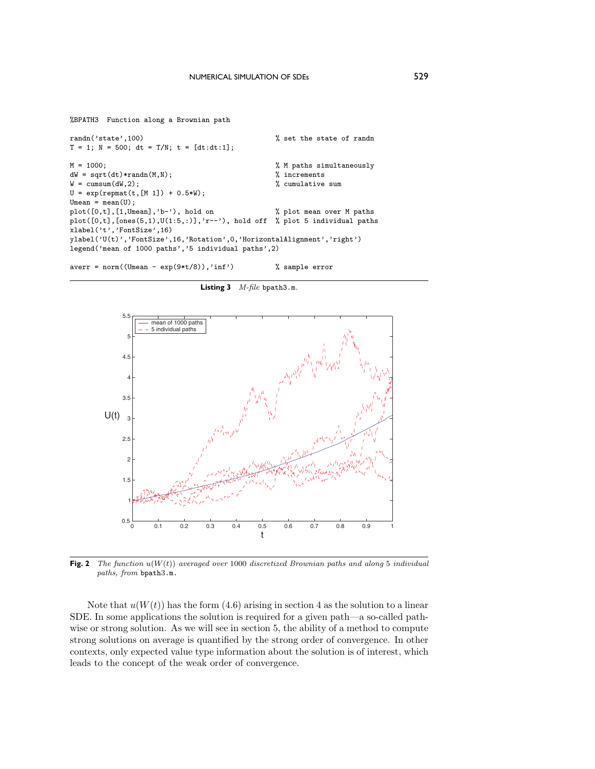```
%BPATH3 Function along a Brownian path
```

```
randn('state',100)  % set the state of randn
T = 1; N = 500; dt = T/N; t = [dt:dt:1];
M = 1000;<br>
dW = sqrt(dt)*randn(M,N);<br>
dW = sqrt(dt)*randn(M,N);<br>
dW = 1000;<br>
dW = 1000;<br>
dW = 1000;dW = sqrt(dt)*randn(M,N);<br>
W = cumsum(dW,2);<br>
W = cumsum(dW,2);
W = \text{cumsum}(dW, 2);U = exp(repmat(t, [M 1]) + 0.5*W);Umean = mean(U);plot([0,t],[1,Umean],'b-'), hold on \% plot mean over M paths
plot([0,t],[ones(5,1),U(1:5,:)], 'r--'), hold off % plot 5 individual pathsxlabel('t','FontSize',16)
ylabel('U(t)','FontSize',16,'Rotation',0,'HorizontalAlignment','right')
legend('mean of 1000 paths','5 individual paths',2)
```
averr = norm((Umean - exp(9\*t/8)),'inf') % sample error





**Fig. 2** *The function u*(*W*(*t*)) *averaged over* 1000 *discretized Brownian paths and along* 5 *individual paths, from* bpath3.m.

Note that  $u(W(t))$  has the form  $(4.6)$  arising in section 4 as the solution to a linear SDE. In some applications the solution is required for a given path—a so-called pathwise or strong solution. As we will see in section 5, the ability of a method to compute strong solutions on average is quantified by the strong order of convergence. In other contexts, only expected value type information about the solution is of interest, which leads to the concept of the weak order of convergence.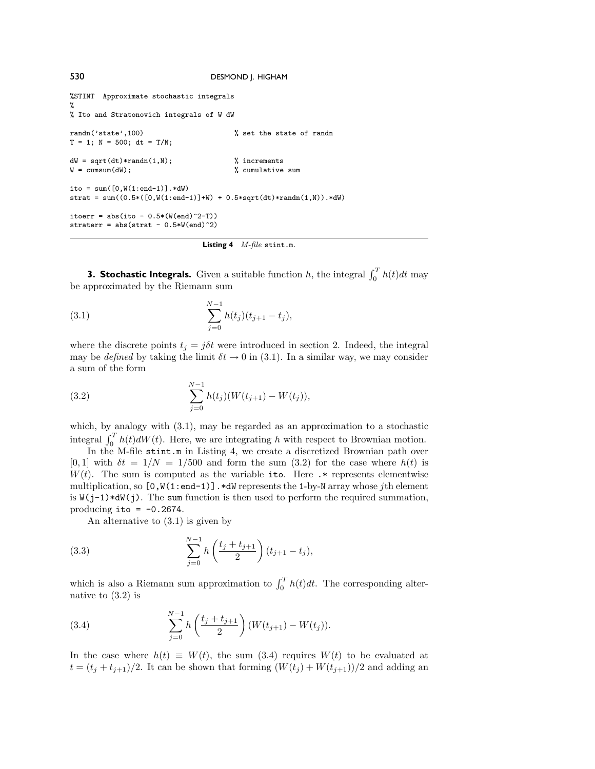```
%STINT Approximate stochastic integrals
%
% Ito and Stratonovich integrals of W dW
randn('state',100) % set the state of randn
T = 1; N = 500; dt = T/N;
dW = sqrt(dt)*randn(1,N); <br>W = cumsum(dW); <br>% cumulative <br>% cumulative
                                         % cumulative sum
ito = sum([0,W(1:end-1)].*dW)
strat = sum((0.5 * ([0, W(1:end-1)]+W) + 0.5 * sqrt(dt) * randn(1, W)).*dW)itoerr = abs(ito - 0.5*(Wend)^2-T)straterr = abs(strat - 0.5*W(end)^2)
```

```
Listing 4 M-file stint.m.
```
**3. Stochastic Integrals.** Given a suitable function *h*, the integral  $\int_0^T h(t)dt$  may be approximated by the Riemann sum

(3.1) 
$$
\sum_{j=0}^{N-1} h(t_j)(t_{j+1} - t_j),
$$

where the discrete points  $t_j = j\delta t$  were introduced in section 2. Indeed, the integral may be *defined* by taking the limit  $\delta t \to 0$  in (3.1). In a similar way, we may consider a sum of the form

(3.2) 
$$
\sum_{j=0}^{N-1} h(t_j) (W(t_{j+1}) - W(t_j)),
$$

which, by analogy with (3.1), may be regarded as an approximation to a stochastic integral  $\int_0^T h(t)dW(t)$ . Here, we are integrating *h* with respect to Brownian motion.

In the M-file stint.m in Listing 4, we create a discretized Brownian path over  $[0,1]$  with  $\delta t = 1/N = 1/500$  and form the sum  $(3.2)$  for the case where  $h(t)$  is  $W(t)$ . The sum is computed as the variable ito. Here  $\cdot$  represents elementwise multiplication, so [0,W(1:end-1)].\*dW represents the 1-by-N array whose *j*th element is  $W(j-1)*dW(j)$ . The sum function is then used to perform the required summation, producing ito  $= -0.2674$ .

An alternative to (3.1) is given by

(3.3) 
$$
\sum_{j=0}^{N-1} h\left(\frac{t_j + t_{j+1}}{2}\right) (t_{j+1} - t_j),
$$

which is also a Riemann sum approximation to  $\int_0^T h(t)dt$ . The corresponding alternative to (3.2) is

(3.4) 
$$
\sum_{j=0}^{N-1} h\left(\frac{t_j + t_{j+1}}{2}\right) (W(t_{j+1}) - W(t_j)).
$$

In the case where  $h(t) \equiv W(t)$ , the sum (3.4) requires  $W(t)$  to be evaluated at  $t = (t_j + t_{j+1})/2$ . It can be shown that forming  $(W(t_j) + W(t_{j+1}))/2$  and adding an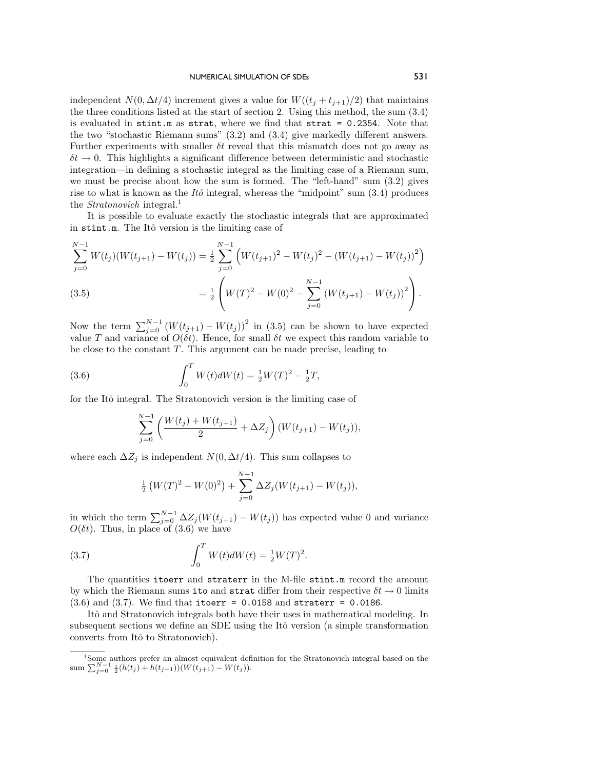## NUMERICAL SIMULATION OF SDES 531

independent *N*(0*,*  $\Delta t/4$ ) increment gives a value for *W*( $(t_j + t_{j+1})/2$ ) that maintains the three conditions listed at the start of section 2. Using this method, the sum (3.4) is evaluated in stint.m as strat, where we find that strat = 0.2354. Note that the two "stochastic Riemann sums" (3.2) and (3.4) give markedly different answers. Further experiments with smaller *δt* reveal that this mismatch does not go away as  $\delta t \to 0$ . This highlights a significant difference between deterministic and stochastic integration—in defining a stochastic integral as the limiting case of a Riemann sum, we must be precise about how the sum is formed. The "left-hand" sum (3.2) gives rise to what is known as the  $It\hat{o}$  integral, whereas the "midpoint" sum  $(3.4)$  produces the *Stratonovich* integral.<sup>1</sup>

It is possible to evaluate exactly the stochastic integrals that are approximated in stint.m. The Itô version is the limiting case of

$$
\sum_{j=0}^{N-1} W(t_j)(W(t_{j+1}) - W(t_j)) = \frac{1}{2} \sum_{j=0}^{N-1} \left( W(t_{j+1})^2 - W(t_j)^2 - (W(t_{j+1}) - W(t_j))^2 \right)
$$
\n
$$
= \frac{1}{2} \left( W(T)^2 - W(0)^2 - \sum_{j=0}^{N-1} \left( W(t_{j+1}) - W(t_j) \right)^2 \right).
$$
\n(3.5)

Now the term  $\sum_{j=0}^{N-1} (W(t_{j+1}) - W(t_j))^2$  in (3.5) can be shown to have expected value *T* and variance of  $O(\delta t)$ . Hence, for small  $\delta t$  we expect this random variable to be close to the constant *T*. This argument can be made precise, leading to

(3.6) 
$$
\int_0^T W(t)dW(t) = \frac{1}{2}W(T)^2 - \frac{1}{2}T,
$$

for the Itô integral. The Stratonovich version is the limiting case of

$$
\sum_{j=0}^{N-1} \left( \frac{W(t_j) + W(t_{j+1})}{2} + \Delta Z_j \right) (W(t_{j+1}) - W(t_j)),
$$

where each  $\Delta Z_j$  is independent  $N(0, \Delta t/4)$ . This sum collapses to

$$
\frac{1}{2}\left(W(T)^{2} - W(0)^{2}\right) + \sum_{j=0}^{N-1} \Delta Z_{j}(W(t_{j+1}) - W(t_{j})),
$$

in which the term  $\sum_{j=0}^{N-1} \Delta Z_j(W(t_{j+1}) - W(t_j))$  has expected value 0 and variance  $O(\delta t)$ . Thus, in place of  $(3.6)$  we have

(3.7) 
$$
\int_0^T W(t)dW(t) = \frac{1}{2}W(T)^2.
$$

The quantities itoerr and straterr in the M-file stint.m record the amount by which the Riemann sums ito and strat differ from their respective  $\delta t \to 0$  limits  $(3.6)$  and  $(3.7)$ . We find that itoerr = 0.0158 and straterr = 0.0186.

Itô and Stratonovich integrals both have their uses in mathematical modeling. In subsequent sections we define an SDE using the Itô version (a simple transformation converts from Itô to Stratonovich).

<sup>&</sup>lt;sup>1</sup>Some authors prefer an almost equivalent definition for the Stratonovich integral based on the  $sum \ \sum_{j=0}^{N-1} \frac{1}{2} (h(t_j) + h(t_{j+1})) (W(t_{j+1}) - W(t_j)).$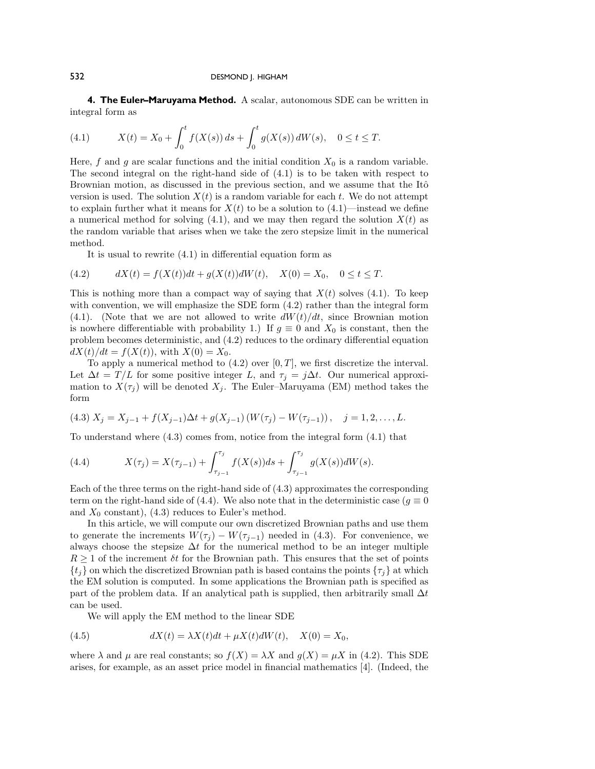**4. The Euler–Maruyama Method.** A scalar, autonomous SDE can be written in integral form as

(4.1) 
$$
X(t) = X_0 + \int_0^t f(X(s)) ds + \int_0^t g(X(s)) dW(s), \quad 0 \le t \le T.
$$

Here,  $f$  and  $g$  are scalar functions and the initial condition  $X_0$  is a random variable. The second integral on the right-hand side of (4.1) is to be taken with respect to Brownian motion, as discussed in the previous section, and we assume that the Itô version is used. The solution  $X(t)$  is a random variable for each t. We do not attempt to explain further what it means for  $X(t)$  to be a solution to  $(4.1)$ —instead we define a numerical method for solving  $(4.1)$ , and we may then regard the solution  $X(t)$  as the random variable that arises when we take the zero stepsize limit in the numerical method.

It is usual to rewrite (4.1) in differential equation form as

(4.2) 
$$
dX(t) = f(X(t))dt + g(X(t))dW(t), \quad X(0) = X_0, \quad 0 \le t \le T.
$$

This is nothing more than a compact way of saying that  $X(t)$  solves (4.1). To keep with convention, we will emphasize the SDE form  $(4.2)$  rather than the integral form  $(4.1)$ . (Note that we are not allowed to write  $dW(t)/dt$ , since Brownian motion is nowhere differentiable with probability 1.) If  $g \equiv 0$  and  $X_0$  is constant, then the problem becomes deterministic, and (4.2) reduces to the ordinary differential equation  $dX(t)/dt = f(X(t))$ , with  $X(0) = X_0$ .

To apply a numerical method to  $(4.2)$  over  $[0, T]$ , we first discretize the interval. Let  $\Delta t = T/L$  for some positive integer *L*, and  $\tau_j = j\Delta t$ . Our numerical approximation to  $X(\tau_i)$  will be denoted  $X_i$ . The Euler–Maruyama (EM) method takes the form

$$
(4.3) X_j = X_{j-1} + f(X_{j-1})\Delta t + g(X_{j-1}) (W(\tau_j) - W(\tau_{j-1})), \quad j = 1, 2, ..., L.
$$

To understand where (4.3) comes from, notice from the integral form (4.1) that

(4.4) 
$$
X(\tau_j) = X(\tau_{j-1}) + \int_{\tau_{j-1}}^{\tau_j} f(X(s))ds + \int_{\tau_{j-1}}^{\tau_j} g(X(s))dW(s).
$$

Each of the three terms on the right-hand side of (4.3) approximates the corresponding term on the right-hand side of (4.4). We also note that in the deterministic case ( $g \equiv 0$ and  $X_0$  constant), (4.3) reduces to Euler's method.

In this article, we will compute our own discretized Brownian paths and use them to generate the increments  $W(\tau_i) - W(\tau_{i-1})$  needed in (4.3). For convenience, we always choose the stepsize  $\Delta t$  for the numerical method to be an integer multiple  $R \geq 1$  of the increment  $\delta t$  for the Brownian path. This ensures that the set of points  ${t_j}$  on which the discretized Brownian path is based contains the points  ${\tau_j}$  at which the EM solution is computed. In some applications the Brownian path is specified as part of the problem data. If an analytical path is supplied, then arbitrarily small ∆*t* can be used.

We will apply the EM method to the linear SDE

(4.5) 
$$
dX(t) = \lambda X(t)dt + \mu X(t)dW(t), \quad X(0) = X_0,
$$

where  $\lambda$  and  $\mu$  are real constants; so  $f(X) = \lambda X$  and  $g(X) = \mu X$  in (4.2). This SDE arises, for example, as an asset price model in financial mathematics [4]. (Indeed, the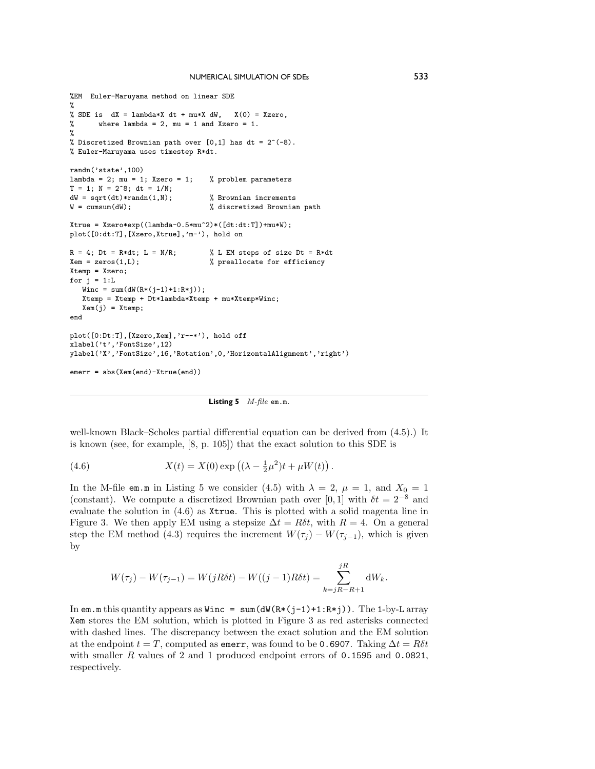```
%EM Euler-Maruyama method on linear SDE
%
% SDE is dX = lambda*X dt + mu*X dW, X(0) = Xzero,
% where lambda = 2, mu = 1 and Xzero = 1.
%
% Discretized Brownian path over [0,1] has dt = 2^(-8).
% Euler-Maruyama uses timestep R*dt.
randn('state',100)
lambda = 2; mu = 1; Xzero = 1; % problem parameters
T = 1; N = 2^8; dt = 1/N;
dW = sqrt(dt)*randn(1,N); <br>W = cumsum(dW); <br>% discretized Brownia
                                   % discretized Brownian path
Xtrue = Xzero*exp((lambda-0.5*mu^2)*([dt:dt:T])+mu*W);
plot([0:dt:T],[Xzero,Xtrue],'m-'), hold on
R = 4; Dt = R*dt; L = N/R; <br> \% L EM steps of size Dt = R*dt<br> \% preallocate for efficiency
                                   % preallocate for efficiency
Xtemp = Xzero;
for i = 1:LWinc = sum(dW(R*(j-1)+1:R*j));Xtemp = Xtemp + Dt*lambda*Xtemp + mu*Xtemp*Winc;
  Xem(j) = Xtemp;end
plot([0:Dt:T],[Xzero,Xem],'r--*'), hold off
xlabel('t','FontSize',12)
ylabel('X','FontSize',16,'Rotation',0,'HorizontalAlignment','right')
emerr = abs(Xem(end)-Xtrue(end))
```
**Listing 5** *M-file* em.m*.*

well-known Black–Scholes partial differential equation can be derived from (4.5).) It is known (see, for example, [8, p. 105]) that the exact solution to this SDE is

(4.6) 
$$
X(t) = X(0) \exp ((\lambda - \frac{1}{2}\mu^2)t + \mu W(t)).
$$

In the M-file em.m in Listing 5 we consider (4.5) with  $\lambda = 2$ ,  $\mu = 1$ , and  $X_0 = 1$ (constant). We compute a discretized Brownian path over [0, 1] with  $\delta t = 2^{-8}$  and evaluate the solution in  $(4.6)$  as Xtrue. This is plotted with a solid magenta line in Figure 3. We then apply EM using a stepsize  $\Delta t = R\delta t$ , with  $R = 4$ . On a general step the EM method (4.3) requires the increment  $W(\tau_j) - W(\tau_{j-1})$ , which is given by

$$
W(\tau_j) - W(\tau_{j-1}) = W(jR\delta t) - W((j-1)R\delta t) = \sum_{k=jR-R+1}^{jR} dW_k.
$$

In em.m this quantity appears as  $Winc = sum(dW(R*(j-1)+1:R*j))$ . The 1-by-L array Xem stores the EM solution, which is plotted in Figure 3 as red asterisks connected with dashed lines. The discrepancy between the exact solution and the EM solution at the endpoint  $t = T$ , computed as emerr, was found to be 0.6907. Taking  $\Delta t = R\delta t$ with smaller *R* values of 2 and 1 produced endpoint errors of 0.1595 and 0.0821, respectively.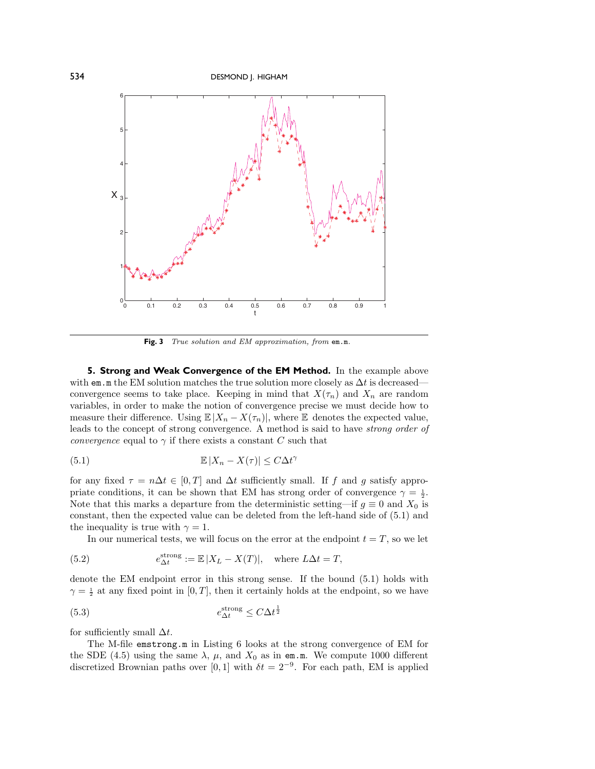

**Fig. 3** *True solution and EM approximation, from* em.m*.*

**5. Strong and Weak Convergence of the EM Method.** In the example above with em.m the EM solution matches the true solution more closely as  $\Delta t$  is decreased convergence seems to take place. Keeping in mind that  $X(\tau_n)$  and  $X_n$  are random variables, in order to make the notion of convergence precise we must decide how to measure their difference. Using  $\mathbb{E}|X_n - X(\tau_n)|$ , where  $\mathbb{E}$  denotes the expected value, leads to the concept of strong convergence. A method is said to have *strong order of convergence* equal to  $\gamma$  if there exists a constant *C* such that

(5.1) 
$$
\mathbb{E}|X_n - X(\tau)| \leq C\Delta t^{\gamma}
$$

for any fixed  $\tau = n\Delta t \in [0, T]$  and  $\Delta t$  sufficiently small. If *f* and *g* satisfy appropriate conditions, it can be shown that EM has strong order of convergence  $\gamma = \frac{1}{2}$ . Note that this marks a departure from the deterministic setting—if  $g \equiv 0$  and  $X_0$  is constant, then the expected value can be deleted from the left-hand side of (5.1) and the inequality is true with  $\gamma = 1$ .

In our numerical tests, we will focus on the error at the endpoint  $t = T$ , so we let

(5.2) 
$$
e_{\Delta t}^{\text{strong}} := \mathbb{E}|X_L - X(T)|, \text{ where } L\Delta t = T,
$$

denote the EM endpoint error in this strong sense. If the bound (5.1) holds with  $\gamma = \frac{1}{2}$  at any fixed point in [0, *T*], then it certainly holds at the endpoint, so we have

$$
(5.3) \t e^{\text{strong}}_{\Delta t} \le C\Delta t^{\frac{1}{2}}
$$

for sufficiently small ∆*t*.

The M-file emstrong.m in Listing 6 looks at the strong convergence of EM for the SDE (4.5) using the same  $\lambda$ ,  $\mu$ , and  $X_0$  as in em.m. We compute 1000 different discretized Brownian paths over [0, 1] with  $\delta t = 2^{-9}$ . For each path, EM is applied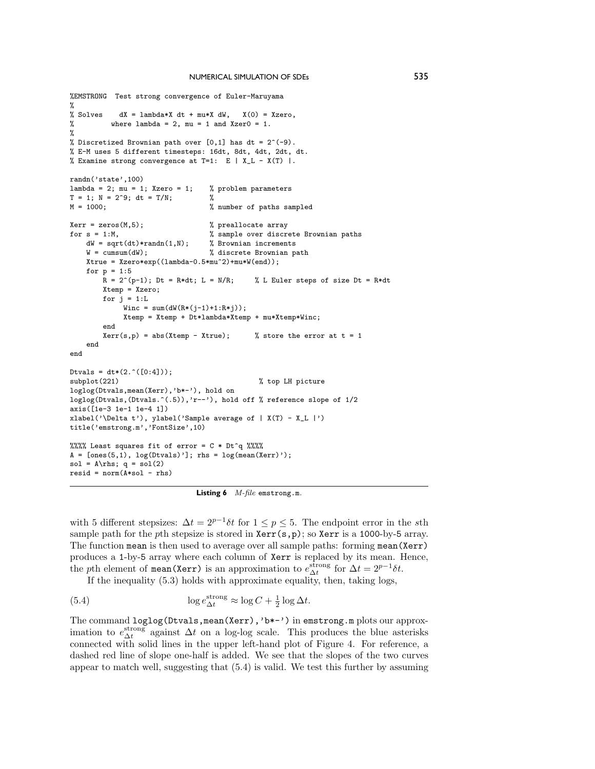```
%EMSTRONG Test strong convergence of Euler-Maruyama
%<br>% Solves
% Solves dX = lambda*X dt + mu*X dW, X(0) = Xzero,<br>% where lambda = 2, mu = 1 and Xzer0 = 1.
          where lambda = 2, mu = 1 and Xzer0 = 1.
%
% Discretized Brownian path over [0,1] has dt = 2^(-9).
% E-M uses 5different timesteps: 16dt, 8dt, 4dt, 2dt, dt.
% Examine strong convergence at T=1: E | X_L - X(T) |.
randn('state',100)
lambda = 2; mu = 1; Xzero = 1; % problem parameters
T = 1; N = 2^{\circ}9; dt = T/N; %<br>
M = 1000: %
                                     % number of paths sampled
Xerr = zeros(M,5);<br>
for s = 1:M,<br>
% sample over discrete% sample over discrete Brownian paths<br>% Brownian increments
    dW = sqrt(dt)*randn(1,N);<br>W = cumsum(dW);% discrete Brownian path
    Xtrue = Xzero*exp((lambda-0.5*mu^2)*mu*W(end));for p = 1:5<br>
R = 2^{(p-1)}; Dt = R * dt; L = N/R;
                                                 % L Euler steps of size Dt = R*dt
        Xtemp = Xzero;
        for j = 1:LWinc = sum(dW(R*(i-1)+1:R*1));Xtemp = Xtemp + Dt*lambda*Xtemp + mu*Xtemp*Winc;
         end
         Xerr(s,p) = abs(Xtemp - Xtrue); % store the error at t = 1end
end
Dtvals = dt*(2.^(0:4]));<br>subplot(221)
                                                   % top LH picture
loglog(Dtvals,mean(Xerr),'b*-'), hold on
loglog(Dtvals,(Dtvals.<sup>^</sup>(.5)),'r--'), hold off % reference slope of 1/2
axis([1e-3 1e-1 1e-4 1])
xlabel('\Delta t'), ylabel('Sample average of | X(T) - X_L |')
title('emstrong.m','FontSize',10)
%%%% Least squares fit of error = C * Dt^q %%%
A = [ones(5,1), log(Dtvals)']; rhs = log(mean(Xerr)');
sol = A\rhs; q = sol(2)resid = norm(A*sol - rhs)
```
**Listing 6** *M-file* emstrong.m*.*

with 5 different stepsizes:  $\Delta t = 2^{p-1}\delta t$  for  $1 \leq p \leq 5$ . The endpoint error in the *s*th sample path for the *p*th stepsize is stored in **Xerr**(s,p); so **Xerr** is a 1000-by-5 array. The function mean is then used to average over all sample paths: forming mean(Xerr) produces a 1-by-5 array where each column of Xerr is replaced by its mean. Hence, the *p*th element of mean(Xerr) is an approximation to  $e_{\Delta t}^{\text{strong}}$  for  $\Delta t = 2^{p-1} \delta t$ .

If the inequality (5.3) holds with approximate equality, then, taking logs,

(5.4) 
$$
\log e_{\Delta t}^{\text{strong}} \approx \log C + \frac{1}{2} \log \Delta t.
$$

The command loglog(Dtvals,mean(Xerr),'b\*-') in emstrong.m plots our approximation to  $e_{\Delta t}^{\text{strong}}$  against  $\Delta t$  on a log-log scale. This produces the blue asterisks connected with solid lines in the upper left-hand plot of Figure 4. For reference, a dashed red line of slope one-half is added. We see that the slopes of the two curves appear to match well, suggesting that (5.4) is valid. We test this further by assuming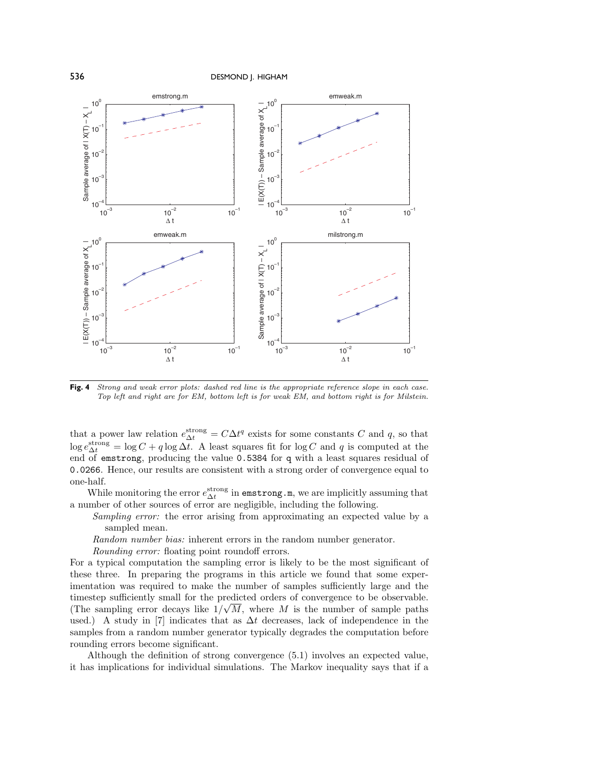

Fig. 4 *Strong and weak error plots: dashed red line is the appropriate reference slope in each case. Top left and right are for EM, bottom left is for weakEM, and bottom right is for Milstein.*

that a power law relation  $e_{\Delta t}^{\text{strong}} = C \Delta t^q$  exists for some constants *C* and *q*, so that  $\log e_{\Delta t}^{\text{strong}} = \log C + q \log \Delta t$ . A least squares fit for  $\log C$  and *q* is computed at the end of emstrong, producing the value 0.5384 for q with a least squares residual of 0.0266. Hence, our results are consistent with a strong order of convergence equal to one-half.

While monitoring the error  $e_{\Delta t}^{\text{strong}}$  in  $\texttt{emstrong.m},$  we are implicitly assuming that a number of other sources of error are negligible, including the following.

- *Sampling error:* the error arising from approximating an expected value by a sampled mean.
- *Random number bias:* inherent errors in the random number generator.
- *Rounding error:* floating point roundoff errors.

For a typical computation the sampling error is likely to be the most significant of these three. In preparing the programs in this article we found that some experimentation was required to make the number of samples sufficiently large and the timestep sufficiently small for the predicted orders of convergence to be observable. (The sampling error decays like  $1/\sqrt{M}$ , where *M* is the number of sample paths used.) A study in [7] indicates that as ∆*t* decreases, lack of independence in the samples from a random number generator typically degrades the computation before rounding errors become significant.

Although the definition of strong convergence (5.1) involves an expected value, it has implications for individual simulations. The Markov inequality says that if a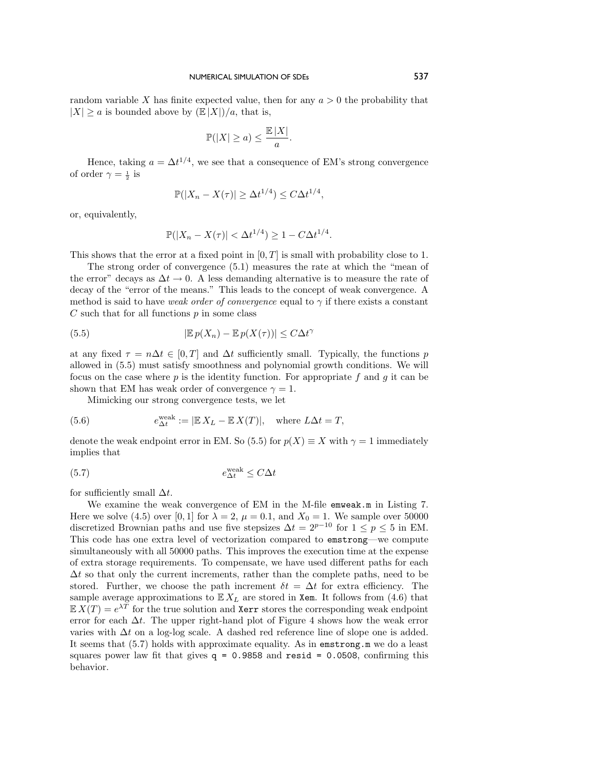random variable X has finite expected value, then for any  $a > 0$  the probability that  $|X| \ge a$  is bounded above by  $(\mathbb{E}|X|)/a$ , that is,

$$
\mathbb{P}(|X| \ge a) \le \frac{\mathbb{E} |X|}{a}.
$$

Hence, taking  $a = \Delta t^{1/4}$ , we see that a consequence of EM's strong convergence of order  $\gamma = \frac{1}{2}$  is

$$
\mathbb{P}(|X_n - X(\tau)| \ge \Delta t^{1/4}) \le C\Delta t^{1/4},
$$

or, equivalently,

$$
\mathbb{P}(|X_n - X(\tau)| < \Delta t^{1/4}) \ge 1 - C\Delta t^{1/4}.
$$

This shows that the error at a fixed point in [0*, T*] is small with probability close to 1.

The strong order of convergence (5.1) measures the rate at which the "mean of the error" decays as  $\Delta t \to 0$ . A less demanding alternative is to measure the rate of decay of the "error of the means." This leads to the concept of weak convergence. A method is said to have *weak order of convergence* equal to  $\gamma$  if there exists a constant *C* such that for all functions *p* in some class

(5.5) 
$$
|\mathbb{E}p(X_n) - \mathbb{E}p(X(\tau))| \leq C\Delta t^{\gamma}
$$

at any fixed  $\tau = n\Delta t \in [0, T]$  and  $\Delta t$  sufficiently small. Typically, the functions *p* allowed in (5.5) must satisfy smoothness and polynomial growth conditions. We will focus on the case where *p* is the identity function. For appropriate *f* and *g* it can be shown that EM has weak order of convergence  $\gamma = 1$ .

Mimicking our strong convergence tests, we let

(5.6) 
$$
e_{\Delta t}^{\text{weak}} := |\mathbb{E} X_L - \mathbb{E} X(T)|, \text{ where } L\Delta t = T,
$$

denote the weak endpoint error in EM. So (5.5) for  $p(X) \equiv X$  with  $\gamma = 1$  immediately implies that

$$
(5.7) \t e^{\text{weak}}_{\Delta t} \le C\Delta t
$$

for sufficiently small ∆*t*.

We examine the weak convergence of EM in the M-file emweak.m in Listing 7. Here we solve (4.5) over [0, 1] for  $\lambda = 2$ ,  $\mu = 0.1$ , and  $X_0 = 1$ . We sample over 50000 discretized Brownian paths and use five stepsizes  $\Delta t = 2^{p-10}$  for  $1 \le p \le 5$  in EM. This code has one extra level of vectorization compared to emstrong—we compute simultaneously with all 50000 paths. This improves the execution time at the expense of extra storage requirements. To compensate, we have used different paths for each  $\Delta t$  so that only the current increments, rather than the complete paths, need to be stored. Further, we choose the path increment  $\delta t = \Delta t$  for extra efficiency. The sample average approximations to  $\mathbb{E} X_L$  are stored in Xem. It follows from (4.6) that  $\mathbb{E} X(T) = e^{\lambda T}$  for the true solution and Xerr stores the corresponding weak endpoint error for each  $\Delta t$ . The upper right-hand plot of Figure 4 shows how the weak error varies with ∆*t* on a log-log scale. A dashed red reference line of slope one is added. It seems that (5.7) holds with approximate equality. As in emstrong.m we do a least squares power law fit that gives  $q = 0.9858$  and resid = 0.0508, confirming this behavior.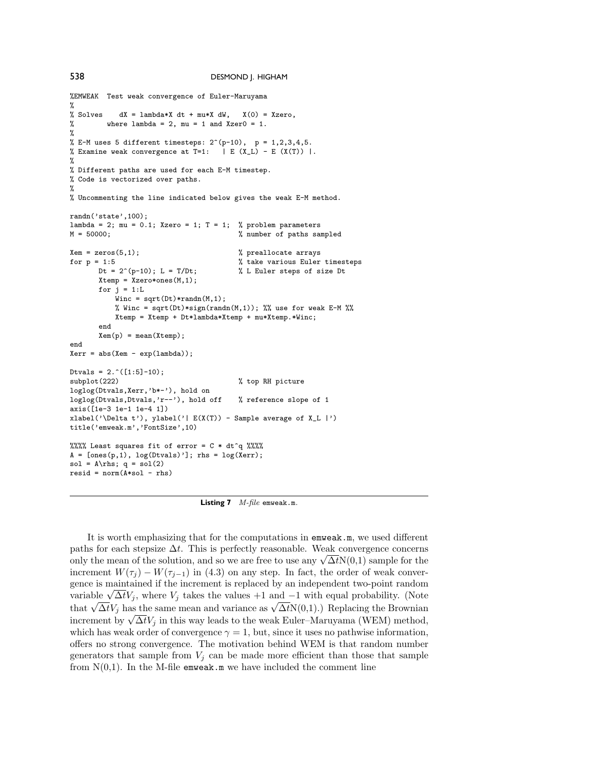```
538 DESMOND J. HIGHAM
%EMWEAK Test weak convergence of Euler-Maruyama
%<br>% Solves
            dX = lambda*X dt + mu*X dW, X(0) = Xzero,
% where lambda = 2, mu = 1 and Xzer0 = 1.
\frac{9}{2}% E-M uses 5 different timesteps: 2^(p-10), p = 1,2,3,4,5.
% Examine weak convergence at T=1: |E(X_L) - E(X(T))|.
%
% Different paths are used for each E-M timestep.
% Code is vectorized over paths.
%
% Uncommenting the line indicated below gives the weak E-M method.
randn('state',100);
lambda = 2; mu = 0.1; Xzero = 1; T = 1; % problem parameters M = 50000: % number of paths same
                                           % number of paths sampled
Xem = zeros(5,1);<br>
\% preallocate arrays<br>
for p = 1:5<br>
\% take various Euler
       f(t) = 1:5<br>Dt = 2^(p-10); L = T/Dt;<br>% L Euler steps of size Dt
                                           % L Euler steps of size Dt
       Xtemp = Xzero*ones(M, 1);
       for j = 1:LWinc = sqrt(Dt) * randn(M, 1);% Winc = sqrt(Dt)*sign(randn(M,1)); %% use for weak E-M %%
           Xtemp = Xtemp + Dt*lambda*Xtemp + mu*Xtemp.*Winc;
       end
       Xem(p) = mean(Xtemp);end
Xerr = abs(Xem - exp(lambda));
Dtvals = 2.^{\circ}([1:5]-10);<br>subplot(222)
                                           % top RH picture
loglog(Dtvals,Xerr,'b*-'), hold on
loglog(Dtvals,Dtvals,'r--'), hold off % reference slope of 1
axis([1e-3 1e-1 1e-4 1])
xlabel('\Delta t'), ylabel('| E(X(T)) - Sample average of X_L |')
title('emweak.m','FontSize',10)
%%%% Least squares fit of error = C * dt^q %%%
A = [ones(p, 1), log(Dtvals)']; rhs = log(Xerr);
sol = A\rhs; q = sol(2)resid = norm(A*sol - rhs)
```
**Listing 7** *M-file* emweak.m*.*

It is worth emphasizing that for the computations in emweak.m, we used different paths for each stepsize  $\Delta t$ . This is perfectly reasonable. Weak convergence concerns paths for each stepsize  $\Delta t$ . This is perfectly reasonable. Weak convergence concerns<br>only the mean of the solution, and so we are free to use any  $\sqrt{\Delta t}N(0,1)$  sample for the increment  $W(\tau_i) - W(\tau_{i-1})$  in (4.3) on any step. In fact, the order of weak convergence is maintained if the increment is replaced by an independent two-point random gence is maintained if the increment is replaced by an independent two-point random<br>variable  $\sqrt{\Delta t}V_j$ , where  $V_j$  takes the values +1 and −1 with equal probability. (Note variable  $\sqrt{\Delta t}V_j$ , where  $V_j$  takes the values  $+1$  and  $-1$  with equal probability. (Note that  $\sqrt{\Delta t}V_j$  has the same mean and variance as  $\sqrt{\Delta t}N(0,1)$ .) Replacing the Brownian increment by  $\sqrt{\Delta t}V_j$  in this way leads to the weak Euler–Maruyama (WEM) method, which has weak order of convergence  $\gamma = 1$ , but, since it uses no pathwise information, offers no strong convergence. The motivation behind WEM is that random number generators that sample from  $V_j$  can be made more efficient than those that sample from  $N(0,1)$ . In the M-file emweak.m we have included the comment line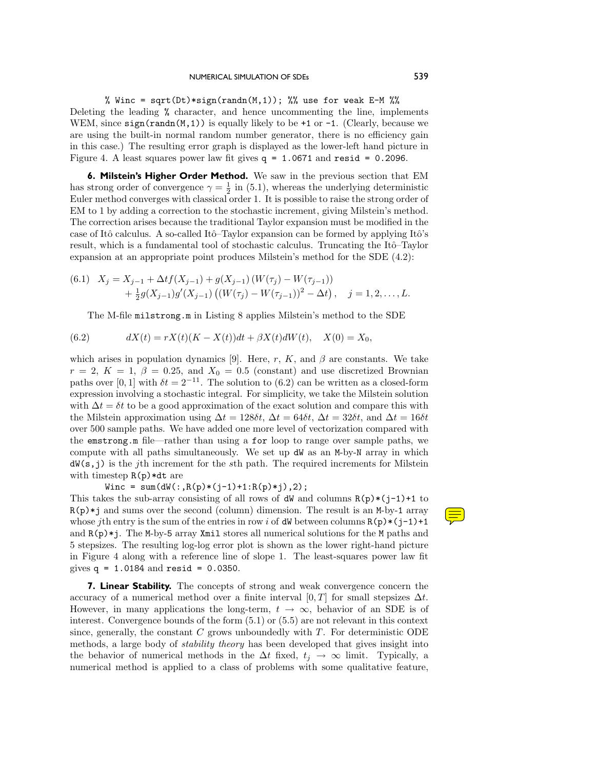### NUMERICAL SIMULATION OF SDES 539

% Winc = sqrt(Dt)\*sign(randn(M,1)); %% use for weak E-M %% Deleting the leading % character, and hence uncommenting the line, implements WEM, since  $sign(rand(M,1))$  is equally likely to be +1 or -1. (Clearly, because we are using the built-in normal random number generator, there is no efficiency gain in this case.) The resulting error graph is displayed as the lower-left hand picture in Figure 4. A least squares power law fit gives  $q = 1.0671$  and resid = 0.2096.

**6. Milstein's Higher Order Method.** We sawin the previous section that EM has strong order of convergence  $\gamma = \frac{1}{2}$  in (5.1), whereas the underlying deterministic Euler method converges with classical order 1. It is possible to raise the strong order of EM to 1 by adding a correction to the stochastic increment, giving Milstein's method. The correction arises because the traditional Taylor expansion must be modified in the case of Itô calculus. A so-called Itô-Taylor expansion can be formed by applying Itô's result, which is a fundamental tool of stochastic calculus. Truncating the Itô–Taylor expansion at an appropriate point produces Milstein's method for the SDE (4.2):

(6.1) 
$$
X_j = X_{j-1} + \Delta t f(X_{j-1}) + g(X_{j-1}) (W(\tau_j) - W(\tau_{j-1})) + \frac{1}{2} g(X_{j-1}) g'(X_{j-1}) ((W(\tau_j) - W(\tau_{j-1}))^2 - \Delta t), \quad j = 1, 2, ..., L.
$$

The M-file milstrong.m in Listing 8 applies Milstein's method to the SDE

(6.2) 
$$
dX(t) = rX(t)(K - X(t))dt + \beta X(t)dW(t), \quad X(0) = X_0,
$$

which arises in population dynamics [9]. Here,  $r$ ,  $K$ , and  $\beta$  are constants. We take  $r = 2, K = 1, \beta = 0.25, \text{ and } X_0 = 0.5 \text{ (constant) and use discretized Brownian.}$ paths over [0, 1] with  $\delta t = 2^{-11}$ . The solution to (6.2) can be written as a closed-form expression involving a stochastic integral. For simplicity, we take the Milstein solution with  $\Delta t = \delta t$  to be a good approximation of the exact solution and compare this with the Milstein approximation using  $\Delta t = 128\delta t$ ,  $\Delta t = 64\delta t$ ,  $\Delta t = 32\delta t$ , and  $\Delta t = 16\delta t$ over 500 sample paths. We have added one more level of vectorization compared with the emstrong.m file—rather than using a for loop to range over sample paths, we compute with all paths simultaneously. We set up dW as an M-by-N array in which dW(s,j) is the *j*th increment for the *s*th path. The required increments for Milstein with timestep  $R(p)*dt$  are

 $Winc = sum(dW(:, R(p)*(j-1)+1:R(p)*j), 2);$ 

This takes the sub-array consisting of all rows of  $dW$  and columns  $R(p)*(j-1)+1$  to R(p)\*j and sums over the second (column) dimension. The result is an M-by-1 array whose *j*th entry is the sum of the entries in row *i* of dW between columns  $R(p)*(j-1)+1$ and  $R(p)*j$ . The M-by-5 array Xmil stores all numerical solutions for the M paths and 5 stepsizes. The resulting log-log error plot is shown as the lower right-hand picture in Figure 4 along with a reference line of slope 1. The least-squares power law fit gives  $q = 1.0184$  and resid = 0.0350.

**7. Linear Stability.** The concepts of strong and weak convergence concern the accuracy of a numerical method over a finite interval  $[0, T]$  for small stepsizes  $\Delta t$ . However, in many applications the long-term,  $t \to \infty$ , behavior of an SDE is of interest. Convergence bounds of the form (5.1) or (5.5) are not relevant in this context since, generally, the constant *C* grows unboundedly with *T*. For deterministic ODE methods, a large body of *stability theory* has been developed that gives insight into the behavior of numerical methods in the  $\Delta t$  fixed,  $t_j \to \infty$  limit. Typically, a numerical method is applied to a class of problems with some qualitative feature,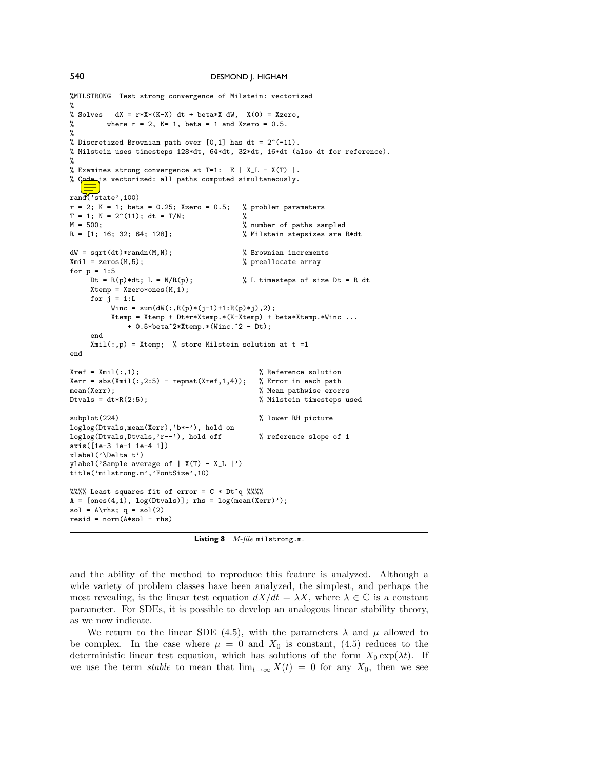```
%MILSTRONG Test strong convergence of Milstein: vectorized
%
% Solves dX = r*X*(K-X) dt + beta*X dW, X(0) = Xzero,% where r = 2, K = 1, beta = 1 and Xzero = 0.5.
\frac{9}{2}% Discretized Brownian path over [0,1] has dt = 2^(-11).
% Milstein uses timesteps 128*dt, 64*dt, 32*dt, 16*dt (also dt for reference).
%
% Examines strong convergence at T=1: E | X_L - X(T) |.
% Code is vectorized: all paths computed simultaneously.
rand('state',100)
r = 2; K = 1; beta = 0.25; Xzero = 0.5; % problem parameters
T = 1; N = 2^(11); dt = T/N;<br>
M = 500; %
M = 500;<br>
R = [1; 16; 32; 64; 128];<br>
Milstein stepsizes are l
                                           % Milstein stepsizes are R*dt
dW = sqrt(dt)*randn(M,N); <br>
x % Brownian increments<br>
xmil = zeros(M,5); <br>
y preallocate array
                                           % preallocate array
for p = 1:5<br>Dt = R(p)*dt; L = N/R(p);
                                           % L timesteps of size Dt = R dt
     Xtemp = Xzero*ones(M,1);for j = 1:LWinc = sum(dW(:, R(p)*(j-1)+1:R(p)*j), 2);Xtemp = Xtemp + Dt*r*Xtemp.*(K-Xtemp) + beta*Xtemp.*Winc ...
              + 0.5*beta^2*Xtemp.*(Winc.^2 - Dt);end
     Xmil(:,p) = Xtemp; % store Milstein solution at t =1end
Xref = Xmil(:,1);<br>
Xerr = abs(Xmil(:,2:5) - repmat(Xref,1,4)); % Error in each path
Xerr = abs(Xmi1(:,2:5) - repmat(Xref,1,4)); mean(Xerr);mean(Xerr);<br>
Dtvals = dt*R(2:5);<br>
\% Milstein timesteps us
                                               % Milstein timesteps used
subplot(224) \% lower RH picture
loglog(Dtvals,mean(Xerr),'b*-'), hold on
loglog(Dtvals,Dtvals,'r--'), hold off \% reference slope of 1
axis([1e-3 1e-1 1e-4 1])
xlabel('\Delta t')
ylabel('Sample average of | X(T) - X_L |')
title('milstrong.m','FontSize',10)
%%%% Least squares fit of error = C * Dt^q %%%
A = [ones(4,1), log(Dtvals)]; rhs = log(mean(Xerr)');sol = A\rhs; q = sol(2)resid = norm(A*sol - rhs)
```
**Listing 8** *M-file* milstrong.m*.*

and the ability of the method to reproduce this feature is analyzed. Although a wide variety of problem classes have been analyzed, the simplest, and perhaps the most revealing, is the linear test equation  $dX/dt = \lambda X$ , where  $\lambda \in \mathbb{C}$  is a constant parameter. For SDEs, it is possible to develop an analogous linear stability theory, as we now indicate.

We return to the linear SDE (4.5), with the parameters  $\lambda$  and  $\mu$  allowed to be complex. In the case where  $\mu = 0$  and  $X_0$  is constant, (4.5) reduces to the deterministic linear test equation, which has solutions of the form  $X_0 \exp(\lambda t)$ . If we use the term *stable* to mean that  $\lim_{t\to\infty} X(t) = 0$  for any  $X_0$ , then we see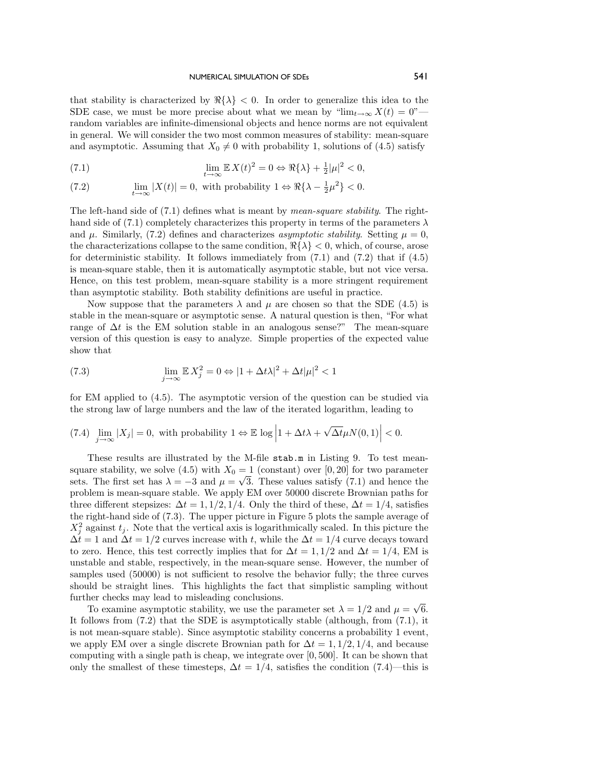that stability is characterized by  $\Re\{\lambda\} < 0$ . In order to generalize this idea to the SDE case, we must be more precise about what we mean by " $\lim_{t\to\infty} X(t) = 0$ " random variables are infinite-dimensional objects and hence norms are not equivalent in general. We will consider the two most common measures of stability: mean-square and asymptotic. Assuming that  $X_0 \neq 0$  with probability 1, solutions of (4.5) satisfy

(7.1) 
$$
\lim_{t \to \infty} \mathbb{E} X(t)^2 = 0 \Leftrightarrow \Re\{\lambda\} + \frac{1}{2}|\mu|^2 < 0,
$$

(7.2) 
$$
\lim_{t \to \infty} |X(t)| = 0, \text{ with probability } 1 \Leftrightarrow \Re\{\lambda - \frac{1}{2}\mu^2\} < 0.
$$

The left-hand side of (7.1) defines what is meant by *mean-square stability*. The righthand side of (7.1) completely characterizes this property in terms of the parameters  $\lambda$ and  $\mu$ . Similarly, (7.2) defines and characterizes *asymptotic stability*. Setting  $\mu = 0$ , the characterizations collapse to the same condition,  $\Re\{\lambda\} < 0$ , which, of course, arose for deterministic stability. It follows immediately from  $(7.1)$  and  $(7.2)$  that if  $(4.5)$ is mean-square stable, then it is automatically asymptotic stable, but not vice versa. Hence, on this test problem, mean-square stability is a more stringent requirement than asymptotic stability. Both stability definitions are useful in practice.

Now suppose that the parameters  $\lambda$  and  $\mu$  are chosen so that the SDE (4.5) is stable in the mean-square or asymptotic sense. A natural question is then, "For what range of  $\Delta t$  is the EM solution stable in an analogous sense?" The mean-square version of this question is easy to analyze. Simple properties of the expected value show that

(7.3) 
$$
\lim_{j \to \infty} \mathbb{E} X_j^2 = 0 \Leftrightarrow |1 + \Delta t \lambda|^2 + \Delta t |\mu|^2 < 1
$$

for EM applied to (4.5). The asymptotic version of the question can be studied via the strong lawof large numbers and the lawof the iterated logarithm, leading to

(7.4) 
$$
\lim_{j \to \infty} |X_j| = 0, \text{ with probability } 1 \Leftrightarrow \mathbb{E} \log \left| 1 + \Delta t \lambda + \sqrt{\Delta t} \mu N(0, 1) \right| < 0.
$$

These results are illustrated by the M-file stab.m in Listing 9. To test meansquare stability, we solve (4.5) with  $X_0 = 1$  (constant) over [0, 20] for two parameter sets. The first set has  $\lambda = -3$  and  $\mu = \sqrt{3}$ . These values satisfy (7.1) and hence the problem is mean-square stable. We apply EM over 50000 discrete Brownian paths for three different stepsizes:  $\Delta t = 1, 1/2, 1/4$ . Only the third of these,  $\Delta t = 1/4$ , satisfies the right-hand side of (7.3). The upper picture in Figure 5 plots the sample average of  $X_j^2$  against  $t_j$ . Note that the vertical axis is logarithmically scaled. In this picture the  $\Delta t = 1$  and  $\Delta t = 1/2$  curves increase with *t*, while the  $\Delta t = 1/4$  curve decays toward to zero. Hence, this test correctly implies that for  $\Delta t = 1, 1/2$  and  $\Delta t = 1/4$ , EM is unstable and stable, respectively, in the mean-square sense. However, the number of samples used (50000) is not sufficient to resolve the behavior fully; the three curves should be straight lines. This highlights the fact that simplistic sampling without further checks may lead to misleading conclusions.

To examine asymptotic stability, we use the parameter set  $\lambda = 1/2$  and  $\mu = \sqrt{6}$ . It follows from (7.2) that the SDE is asymptotically stable (although, from (7.1), it is not mean-square stable). Since asymptotic stability concerns a probability 1 event, we apply EM over a single discrete Brownian path for  $\Delta t = 1, 1/2, 1/4$ , and because computing with a single path is cheap, we integrate over [0*,* 500]. It can be shown that only the smallest of these timesteps,  $\Delta t = 1/4$ , satisfies the condition (7.4)—this is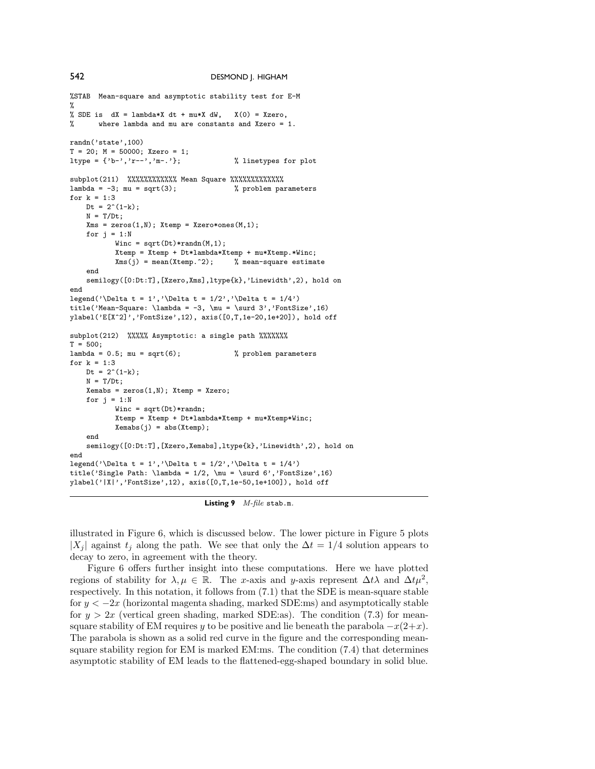```
%STAB Mean-square and asymptotic stability test for E-M
%
% SDE is dX = lambda*X dt + mu*X dW, X(0) = Xzero,
% where lambda and mu are constants and Xzero = 1.
randn('state',100)
T = 20; M = 50000; Xzero = 1;
ltype = \{ 'b-', 'r--', 'm-.' }; % linetypes for plot
subplot(211) %%%%%%%%%%%%%%%%%%%%%%%%%%%%
lambda = -3; mu = sqrt(3); <br> % problem parameters
for k = 1:3Dt = 2^(1-k);
   N = T/Dt:
    Xms = zeros(1, N); Xtemp = Xzero*ones(M, 1);for i = 1:NWinc = sqrt(Dt) * randn(M,1);Xtemp = Xtemp + Dt*lambda*Xtemp + mu*Xtemp.*Winc;<br>Xms(j) = mean(Xtemp.2); % mean-square estimate
           Xms(i) = mean(Xtemp.^2);end
    semilogy([0:Dt:T],[Xzero,Xms],ltype{k},'Linewidth',2), hold on
end
legend('\Delta t = 1','\Delta t = 1/2','\Delta t = 1/4')
title('Mean-Square: \lambda = -3, \mu = \surd 3','FontSize',16)
ylabel('E[X^2]','FontSize',12), axis([0,T,1e-20,1e+20]), hold off
subplot(212) %%%%% Asymptotic: a single path %%%%%%%
T = 500;lambda = 0.5; mu = sqrt(6); \% problem parameters
for k = 1:3Dt = 2^(1-k);N = T/Dt;
    Xemabs = zeros(1, N); Xtemp = Xzero;for i = 1:NWinc = sqrt(Dt) * randn;Xtemp = Xtemp + Dt*lambda*Xtemp + mu*Xtemp*Winc;
           Xemabs(j) = abs(Xtemp);end
    semilogy([0:Dt:T],[Xzero,Xemabs],ltype{k},'Linewidth',2), hold on
end
legend('\Delta t = 1','\Delta t = 1/2','\Delta t = 1/4')
title('Single Path: \lambda = 1/2, \mu = \surd 6', 'FontSize',16)
ylabel('|X|','FontSize',12), axis([0,T,1e-50,1e+100]), hold off
```
illustrated in Figure 6, which is discussed below. The lower picture in Figure 5 plots  $|X_i|$  against  $t_i$  along the path. We see that only the  $\Delta t = 1/4$  solution appears to decay to zero, in agreement with the theory.

Figure 6 offers further insight into these computations. Here we have plotted regions of stability for  $\lambda, \mu \in \mathbb{R}$ . The *x*-axis and *y*-axis represent  $\Delta t \lambda$  and  $\Delta t \mu^2$ , respectively. In this notation, it follows from (7.1) that the SDE is mean-square stable for  $y < -2x$  (horizontal magenta shading, marked SDE:ms) and asymptotically stable for  $y > 2x$  (vertical green shading, marked SDE:as). The condition (7.3) for meansquare stability of EM requires *y* to be positive and lie beneath the parabola  $-x(2+x)$ . The parabola is shown as a solid red curve in the figure and the corresponding meansquare stability region for EM is marked EM:ms. The condition (7.4) that determines asymptotic stability of EM leads to the flattened-egg-shaped boundary in solid blue.

**Listing 9** *M-file* stab.m*.*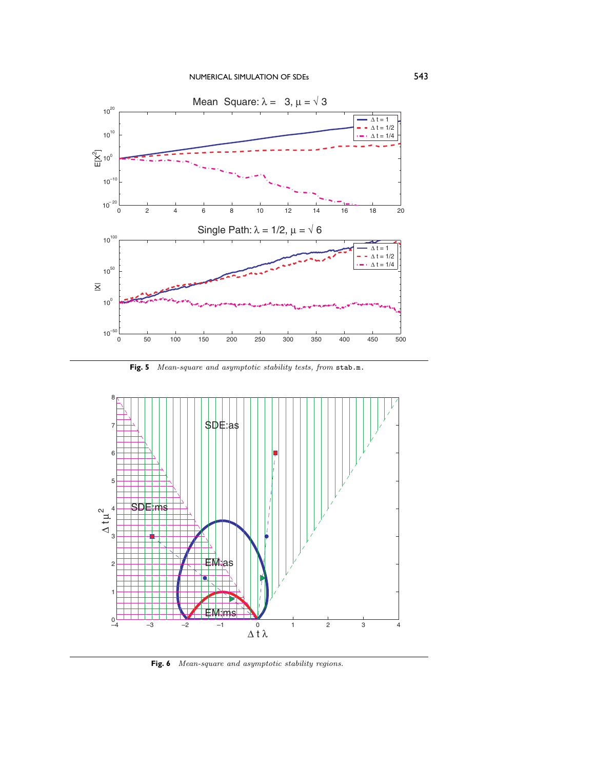

**Fig. 5** *Mean-square and asymptotic stability tests, from* stab.m.



**Fig. 6** *Mean-square and asymptotic stability regions.*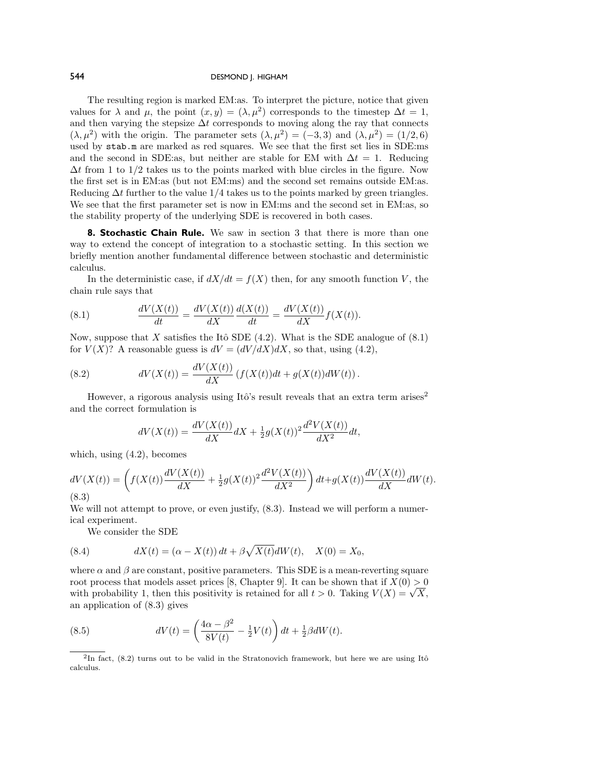The resulting region is marked EM:as. To interpret the picture, notice that given values for  $\lambda$  and  $\mu$ , the point  $(x, y) = (\lambda, \mu^2)$  corresponds to the timestep  $\Delta t = 1$ , and then varying the stepsize  $\Delta t$  corresponds to moving along the ray that connects  $(\lambda, \mu^2)$  with the origin. The parameter sets  $(\lambda, \mu^2) = (-3, 3)$  and  $(\lambda, \mu^2) = (1/2, 6)$ used by stab.m are marked as red squares. We see that the first set lies in SDE:ms and the second in SDE:as, but neither are stable for EM with  $\Delta t = 1$ . Reducing  $\Delta t$  from 1 to 1/2 takes us to the points marked with blue circles in the figure. Now the first set is in EM:as (but not EM:ms) and the second set remains outside EM:as. Reducing ∆*t* further to the value 1*/*4 takes us to the points marked by green triangles. We see that the first parameter set is now in EM:ms and the second set in EM:as, so the stability property of the underlying SDE is recovered in both cases.

**8. Stochastic Chain Rule.** We saw in section 3 that there is more than one way to extend the concept of integration to a stochastic setting. In this section we briefly mention another fundamental difference between stochastic and deterministic calculus.

In the deterministic case, if  $dX/dt = f(X)$  then, for any smooth function V, the chain rule says that

(8.1) 
$$
\frac{dV(X(t))}{dt} = \frac{dV(X(t))}{dX} \frac{d(X(t))}{dt} = \frac{dV(X(t))}{dX} f(X(t)).
$$

Now, suppose that *X* satisfies the Itô SDE  $(4.2)$ . What is the SDE analogue of  $(8.1)$ for  $V(X)$ ? A reasonable guess is  $dV = (dV/dX)dX$ , so that, using (4.2),

(8.2) 
$$
dV(X(t)) = \frac{dV(X(t))}{dX} (f(X(t))dt + g(X(t))dW(t)).
$$

However, a rigorous analysis using Itô's result reveals that an extra term arises<sup>2</sup> and the correct formulation is

$$
dV(X(t)) = \frac{dV(X(t))}{dX}dX + \frac{1}{2}g(X(t))^2 \frac{d^2V(X(t))}{dX^2}dt,
$$

which, using (4.2), becomes

$$
dV(X(t)) = \left(f(X(t))\frac{dV(X(t))}{dX} + \frac{1}{2}g(X(t))^2 \frac{d^2V(X(t))}{dX^2}\right)dt + g(X(t))\frac{dV(X(t))}{dX}dW(t).
$$
\n(8.3)

We will not attempt to prove, or even justify,  $(8.3)$ . Instead we will perform a numerical experiment.

We consider the SDE

(8.4) 
$$
dX(t) = (\alpha - X(t)) dt + \beta \sqrt{X(t)} dW(t), \quad X(0) = X_0,
$$

where  $\alpha$  and  $\beta$  are constant, positive parameters. This SDE is a mean-reverting square root process that models asset prices [8, Chapter 9]. It can be shown that if  $X(0) > 0$ root process that models asset prices [8, Chapter 9]. It can be shown that if  $X(0) > 0$  with probability 1, then this positivity is retained for all  $t > 0$ . Taking  $V(X) = \sqrt{X}$ , an application of (8.3) gives

(8.5) 
$$
dV(t) = \left(\frac{4\alpha - \beta^2}{8V(t)} - \frac{1}{2}V(t)\right)dt + \frac{1}{2}\beta dW(t).
$$

<sup>&</sup>lt;sup>2</sup>In fact,  $(8.2)$  turns out to be valid in the Stratonovich framework, but here we are using Itô calculus.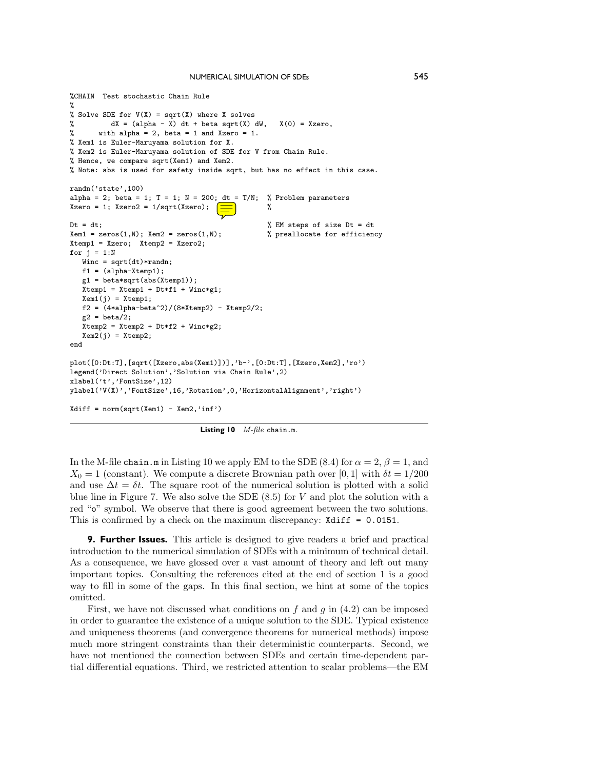```
%CHAIN Test stochastic Chain Rule
\gamma% Solve SDE for V(X) = sqrt(X) where X solves
% dX = (alpha - X) dt + beta sqrt(X) dW, X(0) = Xzero,<br>% with alpha = 2, beta = 1 and Xzero = 1.
       with alpha = 2, beta = 1 and Xzero = 1.
% Xem1 is Euler-Maruyama solution for X.
% Xem2 is Euler-Maruyama solution of SDE for V from Chain Rule.
% Hence, we compare sqrt(Xem1) and Xem2.
% Note: abs is used for safety inside sqrt, but has no effect in this case.
randn('state',100)
alpha = 2; beta = 1; T = 1; N = 200; dt = T/N; % Problem parameters
Xzero = 1; Xzero2 = 1/sqrt(Xzero); \boxed{\equiv} %
Dt = dt;<br> Xem1 = zeros(1, N); Xem2 = zeros(1, N);<br> % preallocate for efficiency
Xem1 = zeros(1,N); Xem2 = zeros(1,N);Xtemp1 = Xzero; Xtemp2 = Xzero2;for j = 1:NWinc = sqrt(dt)*randn;f1 = (alpha-Xtemp1);g1 = beta*sqrt(abs(Xtemp1));
  Xtemp1 = Xtemp1 + Dt*f1 + Winc*g1;
  Xem1(j) = Xtemp1;f2 = (4*alpha-beta^2)/(8*Xtemp2) - Xtemp2/2;g2 = \text{beta}/2;
  Xtemp2 = Xtemp2 + Dt*f2 + Winc*g2;Xem2(j) = Xtemp2;end
plot([0:Dt:T],[sqrt([Xzero,abs(Xem1)])],'b-',[0:Dt:T],[Xzero,Xem2],'ro')
legend('Direct Solution','Solution via Chain Rule',2)
xlabel('t','FontSize',12)
ylabel('V(X)','FontSize',16,'Rotation',0,'HorizontalAlignment','right')
Xdiff = norm(sqrt(Xem1) - Xem2, 'inf')
```
**Listing 10** *M-file* chain.m*.*

In the M-file chain.m in Listing 10 we apply EM to the SDE (8.4) for  $\alpha = 2$ ,  $\beta = 1$ , and  $X_0 = 1$  (constant). We compute a discrete Brownian path over [0, 1] with  $\delta t = 1/200$ and use  $\Delta t = \delta t$ . The square root of the numerical solution is plotted with a solid blue line in Figure 7. We also solve the SDE (8.5) for *V* and plot the solution with a red "o" symbol. We observe that there is good agreement between the two solutions. This is confirmed by a check on the maximum discrepancy: Xdiff = 0.0151.

**9. Further Issues.** This article is designed to give readers a brief and practical introduction to the numerical simulation of SDEs with a minimum of technical detail. As a consequence, we have glossed over a vast amount of theory and left out many important topics. Consulting the references cited at the end of section 1 is a good way to fill in some of the gaps. In this final section, we hint at some of the topics omitted.

First, we have not discussed what conditions on *f* and *g* in (4.2) can be imposed in order to guarantee the existence of a unique solution to the SDE. Typical existence and uniqueness theorems (and convergence theorems for numerical methods) impose much more stringent constraints than their deterministic counterparts. Second, we have not mentioned the connection between SDEs and certain time-dependent partial differential equations. Third, we restricted attention to scalar problems—the EM